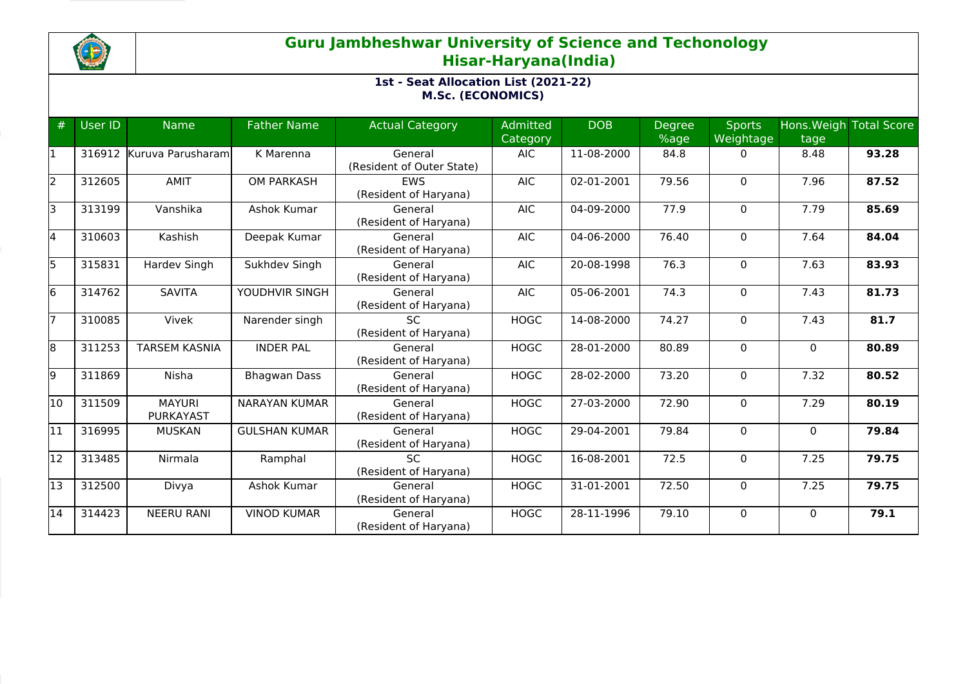

# **Guru Jambheshwar University of Science and Techonology Hisar-Haryana(India)**

## **1st - Seat Allocation List (2021-22) M.Sc. (ECONOMICS)**

| #   | User ID | <b>Name</b>                       | <b>Father Name</b>   | <b>Actual Category</b>               | Admitted<br>Category | <b>DOB</b> | <b>Degree</b><br>%age | <b>Sports</b><br>Weightage | tage         | Hons. Weigh Total Score |
|-----|---------|-----------------------------------|----------------------|--------------------------------------|----------------------|------------|-----------------------|----------------------------|--------------|-------------------------|
|     | 316912  | Kuruva Parusharam                 | K Marenna            | General<br>(Resident of Outer State) | <b>AIC</b>           | 11-08-2000 | 84.8                  | $\Omega$                   | 8.48         | 93.28                   |
| I2. | 312605  | <b>AMIT</b>                       | <b>OM PARKASH</b>    | <b>EWS</b><br>(Resident of Haryana)  | <b>AIC</b>           | 02-01-2001 | 79.56                 | $\mathbf 0$                | 7.96         | 87.52                   |
| Iз  | 313199  | Vanshika                          | Ashok Kumar          | General<br>(Resident of Haryana)     | <b>AIC</b>           | 04-09-2000 | 77.9                  | $\mathbf 0$                | 7.79         | 85.69                   |
| 4   | 310603  | Kashish                           | Deepak Kumar         | General<br>(Resident of Haryana)     | <b>AIC</b>           | 04-06-2000 | 76.40                 | $\mathbf 0$                | 7.64         | 84.04                   |
| l5. | 315831  | Hardev Singh                      | Sukhdev Singh        | General<br>(Resident of Haryana)     | <b>AIC</b>           | 20-08-1998 | 76.3                  | $\mathbf{0}$               | 7.63         | 83.93                   |
| 16  | 314762  | <b>SAVITA</b>                     | YOUDHVIR SINGH       | General<br>(Resident of Haryana)     | <b>AIC</b>           | 05-06-2001 | 74.3                  | $\mathbf 0$                | 7.43         | 81.73                   |
|     | 310085  | Vivek                             | Narender singh       | <b>SC</b><br>(Resident of Haryana)   | <b>HOGC</b>          | 14-08-2000 | 74.27                 | $\mathbf{0}$               | 7.43         | 81.7                    |
| 8   | 311253  | <b>TARSEM KASNIA</b>              | <b>INDER PAL</b>     | General<br>(Resident of Haryana)     | <b>HOGC</b>          | 28-01-2000 | 80.89                 | $\mathbf 0$                | $\mathbf 0$  | 80.89                   |
| l9. | 311869  | Nisha                             | <b>Bhagwan Dass</b>  | General<br>(Resident of Haryana)     | <b>HOGC</b>          | 28-02-2000 | 73.20                 | $\mathbf{0}$               | 7.32         | 80.52                   |
| 10  | 311509  | <b>MAYURI</b><br><b>PURKAYAST</b> | <b>NARAYAN KUMAR</b> | General<br>(Resident of Haryana)     | <b>HOGC</b>          | 27-03-2000 | 72.90                 | $\mathbf 0$                | 7.29         | 80.19                   |
| 11  | 316995  | <b>MUSKAN</b>                     | <b>GULSHAN KUMAR</b> | General<br>(Resident of Haryana)     | <b>HOGC</b>          | 29-04-2001 | 79.84                 | $\mathbf{0}$               | $\mathbf{0}$ | 79.84                   |
| 12  | 313485  | Nirmala                           | Ramphal              | <b>SC</b><br>(Resident of Haryana)   | <b>HOGC</b>          | 16-08-2001 | 72.5                  | $\mathbf{0}$               | 7.25         | 79.75                   |
| 13  | 312500  | Divya                             | Ashok Kumar          | General<br>(Resident of Haryana)     | <b>HOGC</b>          | 31-01-2001 | 72.50                 | $\mathbf 0$                | 7.25         | 79.75                   |
| 14  | 314423  | <b>NEERU RANI</b>                 | <b>VINOD KUMAR</b>   | General<br>(Resident of Haryana)     | <b>HOGC</b>          | 28-11-1996 | 79.10                 | $\mathbf{0}$               | $\Omega$     | 79.1                    |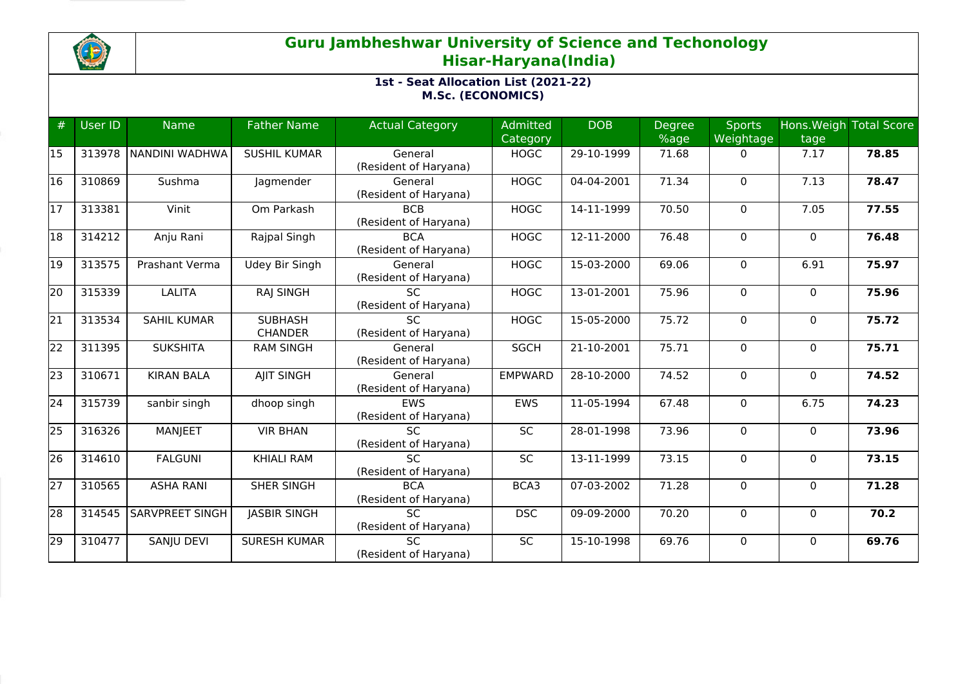

# **Guru Jambheshwar University of Science and Techonology Hisar-Haryana(India)**

## **1st - Seat Allocation List (2021-22) M.Sc. (ECONOMICS)**

| #  | User ID | <b>Name</b>           | <b>Father Name</b>               | <b>Actual Category</b>                   | Admitted        | <b>DOB</b>                  | <b>Degree</b> | <b>Sports</b>  |              | Hons. Weigh Total Score |
|----|---------|-----------------------|----------------------------------|------------------------------------------|-----------------|-----------------------------|---------------|----------------|--------------|-------------------------|
|    |         |                       |                                  |                                          | Category        |                             | %age          | Weightage      | tage         |                         |
| 15 | 313978  | <b>NANDINI WADHWA</b> | <b>SUSHIL KUMAR</b>              | General<br>(Resident of Haryana)         | <b>HOGC</b>     | 29-10-1999                  | 71.68         | 0              | 7.17         | 78.85                   |
| 16 | 310869  | Sushma                | Jagmender                        | General<br>(Resident of Haryana)         | <b>HOGC</b>     | 04-04-2001                  | 71.34         | $\mathbf 0$    | 7.13         | 78.47                   |
| 17 | 313381  | Vinit                 | Om Parkash                       | <b>BCB</b><br>(Resident of Haryana)      | <b>HOGC</b>     | 14-11-1999                  | 70.50         | $\mathbf 0$    | 7.05         | 77.55                   |
| 18 | 314212  | Anju Rani             | Rajpal Singh                     | <b>BCA</b><br>(Resident of Haryana)      | <b>HOGC</b>     | 12-11-2000                  | 76.48         | $\mathbf 0$    | $\mathbf 0$  | 76.48                   |
| 19 | 313575  | Prashant Verma        | Udey Bir Singh                   | General<br>(Resident of Haryana)         | <b>HOGC</b>     | 15-03-2000                  | 69.06         | $\mathbf 0$    | 6.91         | 75.97                   |
| 20 | 315339  | <b>LALITA</b>         | <b>RAJ SINGH</b>                 | <b>SC</b><br>(Resident of Haryana)       | <b>HOGC</b>     | 13-01-2001                  | 75.96         | $\mathbf 0$    | $\mathbf 0$  | 75.96                   |
| 21 | 313534  | <b>SAHIL KUMAR</b>    | <b>SUBHASH</b><br><b>CHANDER</b> | <b>SC</b><br>(Resident of Haryana)       | <b>HOGC</b>     | 15-05-2000                  | 75.72         | $\mathbf 0$    | $\mathbf 0$  | 75.72                   |
| 22 | 311395  | <b>SUKSHITA</b>       | <b>RAM SINGH</b>                 | General<br>(Resident of Haryana)         | <b>SGCH</b>     | 21-10-2001                  | 75.71         | $\mathbf 0$    | $\mathbf 0$  | 75.71                   |
| 23 | 310671  | <b>KIRAN BALA</b>     | <b>AJIT SINGH</b>                | General<br>(Resident of Haryana)         | <b>EMPWARD</b>  | 28-10-2000                  | 74.52         | $\mathbf 0$    | $\mathbf 0$  | 74.52                   |
| 24 | 315739  | sanbir singh          | dhoop singh                      | EWS<br>(Resident of Haryana)             | EWS             | 11-05-1994                  | 67.48         | $\mathbf 0$    | 6.75         | 74.23                   |
| 25 | 316326  | MANJEET               | <b>VIR BHAN</b>                  | $\overline{SC}$<br>(Resident of Haryana) | $\overline{SC}$ | $\overline{28} - 01 - 1998$ | 73.96         | $\mathbf 0$    | $\mathbf{0}$ | 73.96                   |
| 26 | 314610  | <b>FALGUNI</b>        | <b>KHIALI RAM</b>                | <b>SC</b><br>(Resident of Haryana)       | SC              | 13-11-1999                  | 73.15         | $\mathbf 0$    | $\mathbf 0$  | 73.15                   |
| 27 | 310565  | <b>ASHA RANI</b>      | SHER SINGH                       | <b>BCA</b><br>(Resident of Haryana)      | BCA3            | 07-03-2002                  | 71.28         | $\mathbf 0$    | $\mathbf 0$  | 71.28                   |
| 28 | 314545  | SARVPREET SINGH       | <b>JASBIR SINGH</b>              | <b>SC</b><br>(Resident of Haryana)       | <b>DSC</b>      | 09-09-2000                  | 70.20         | $\mathbf 0$    | $\mathbf{0}$ | 70.2                    |
| 29 | 310477  | SANJU DEVI            | <b>SURESH KUMAR</b>              | <b>SC</b><br>(Resident of Haryana)       | $\overline{SC}$ | 15-10-1998                  | 69.76         | $\overline{0}$ | $\mathbf 0$  | 69.76                   |